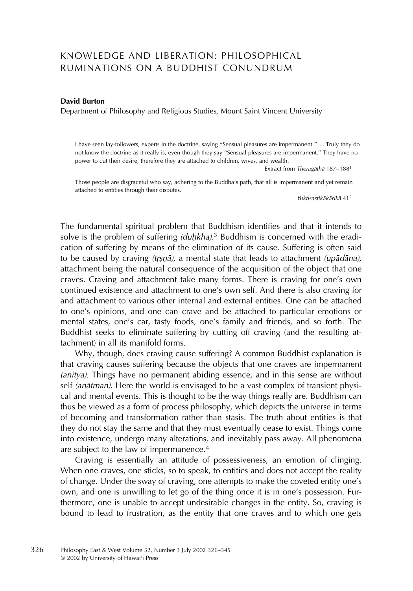# KNOWLEDGE AND LIBERATION: PHILOSOPHICAL RUMINATIONS ON A BUDDHIST CONUNDRUM

#### David Burton

Department of Philosophy and Religious Studies, Mount Saint Vincent University

I have seen lay-followers, experts in the doctrine, saying ''Sensual pleasures are impermanent.''. . . Truly they do not know the doctrine as it really is, even though they say ''Sensual pleasures are impermanent.'' They have no power to cut their desire, therefore they are attached to children, wives, and wealth.

Extract from Theragāthā 187-188<sup>1</sup>

Those people are disgraceful who say, adhering to the Buddha's path, that all is impermanent and yet remain attached to entities through their disputes.

Yuktişaştikākārikā 41<sup>2</sup>

The fundamental spiritual problem that Buddhism identifies and that it intends to solve is the problem of suffering  $(duhkha).$ <sup>3</sup> Buddhism is concerned with the eradi-<br>cation of suffering by means of the elimination of its cause. Suffering is often said cation of suffering by means of the elimination of its cause. Suffering is often said to be caused by craving *(tṛṣṇā),* a mental state that leads to attachment *(upādāna),* attachment being the natural consequence of the acquisition of the object that one craves. Craving and attachment take many forms. There is craving for one's own continued existence and attachment to one's own self. And there is also craving for and attachment to various other internal and external entities. One can be attached to one's opinions, and one can crave and be attached to particular emotions or mental states, one's car, tasty foods, one's family and friends, and so forth. The Buddhist seeks to eliminate suffering by cutting off craving (and the resulting attachment) in all its manifold forms.

Why, though, does craving cause suffering? A common Buddhist explanation is that craving causes suffering because the objects that one craves are impermanent (anitya). Things have no permanent abiding essence, and in this sense are without self *(anātman)*. Here the world is envisaged to be a vast complex of transient physical and mental events. This is thought to be the way things really are. Buddhism can thus be viewed as a form of process philosophy, which depicts the universe in terms of becoming and transformation rather than stasis. The truth about entities is that they do not stay the same and that they must eventually cease to exist. Things come into existence, undergo many alterations, and inevitably pass away. All phenomena are subject to the law of impermanence.<sup>4</sup>

Craving is essentially an attitude of possessiveness, an emotion of clinging. When one craves, one sticks, so to speak, to entities and does not accept the reality of change. Under the sway of craving, one attempts to make the coveted entity one's own, and one is unwilling to let go of the thing once it is in one's possession. Furthermore, one is unable to accept undesirable changes in the entity. So, craving is bound to lead to frustration, as the entity that one craves and to which one gets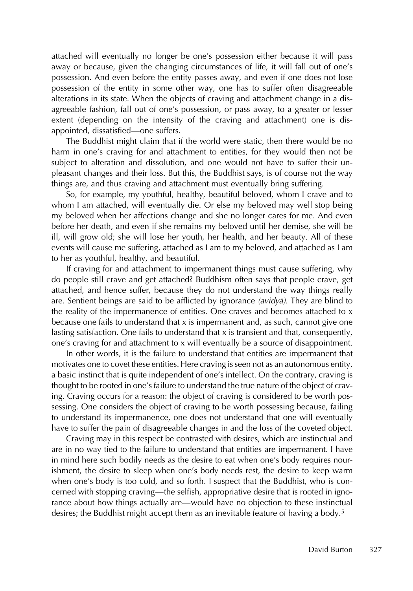attached will eventually no longer be one's possession either because it will pass away or because, given the changing circumstances of life, it will fall out of one's possession. And even before the entity passes away, and even if one does not lose possession of the entity in some other way, one has to suffer often disagreeable alterations in its state. When the objects of craving and attachment change in a disagreeable fashion, fall out of one's possession, or pass away, to a greater or lesser extent (depending on the intensity of the craving and attachment) one is disappointed, dissatisfied—one suffers.

The Buddhist might claim that if the world were static, then there would be no harm in one's craving for and attachment to entities, for they would then not be subject to alteration and dissolution, and one would not have to suffer their unpleasant changes and their loss. But this, the Buddhist says, is of course not the way things are, and thus craving and attachment must eventually bring suffering.

So, for example, my youthful, healthy, beautiful beloved, whom I crave and to whom I am attached, will eventually die. Or else my beloved may well stop being my beloved when her affections change and she no longer cares for me. And even before her death, and even if she remains my beloved until her demise, she will be ill, will grow old; she will lose her youth, her health, and her beauty. All of these events will cause me suffering, attached as I am to my beloved, and attached as I am to her as youthful, healthy, and beautiful.

If craving for and attachment to impermanent things must cause suffering, why do people still crave and get attached? Buddhism often says that people crave, get attached, and hence suffer, because they do not understand the way things really are. Sentient beings are said to be afflicted by ignorance (avidya). They are blind to the reality of the impermanence of entities. One craves and becomes attached to x because one fails to understand that x is impermanent and, as such, cannot give one lasting satisfaction. One fails to understand that x is transient and that, consequently, one's craving for and attachment to x will eventually be a source of disappointment.

In other words, it is the failure to understand that entities are impermanent that motivates one to covet these entities. Here craving is seen not as an autonomous entity, a basic instinct that is quite independent of one's intellect. On the contrary, craving is thought to be rooted in one's failure to understand the true nature of the object of craving. Craving occurs for a reason: the object of craving is considered to be worth possessing. One considers the object of craving to be worth possessing because, failing to understand its impermanence, one does not understand that one will eventually have to suffer the pain of disagreeable changes in and the loss of the coveted object.

Craving may in this respect be contrasted with desires, which are instinctual and are in no way tied to the failure to understand that entities are impermanent. I have in mind here such bodily needs as the desire to eat when one's body requires nourishment, the desire to sleep when one's body needs rest, the desire to keep warm when one's body is too cold, and so forth. I suspect that the Buddhist, who is concerned with stopping craving—the selfish, appropriative desire that is rooted in ignorance about how things actually are—would have no objection to these instinctual desires; the Buddhist might accept them as an inevitable feature of having a body.<sup>5</sup>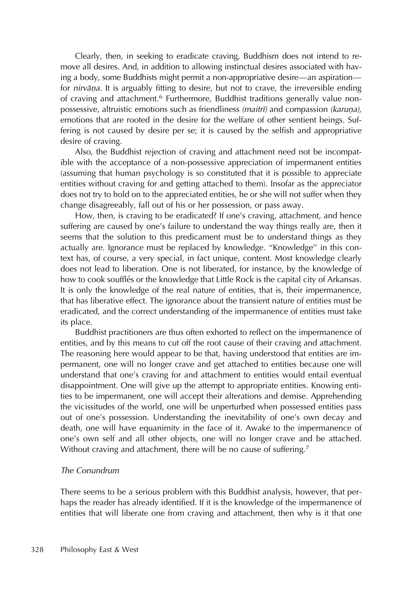Clearly, then, in seeking to eradicate craving, Buddhism does not intend to remove all desires. And, in addition to allowing instinctual desires associated with having a body, some Buddhists might permit a non-appropriative desire—an aspiration for *nirvāṇa.* It is arguably fitting to desire, but not to crave, the irreversible ending of craving and attachment.<sup>6</sup> Furthermore, Buddhist traditions generally value nonpossessive, altruistic emotions such as friendliness *(maitrī)* and compassion *(karuṇa),*<br>emotions that are reated in the desire for the welfare of other sentiont beings. Suf emotions that are rooted in the desire for the welfare of other sentient beings. Suffering is not caused by desire per se; it is caused by the selfish and appropriative desire of craving.

Also, the Buddhist rejection of craving and attachment need not be incompatible with the acceptance of a non-possessive appreciation of impermanent entities (assuming that human psychology is so constituted that it is possible to appreciate entities without craving for and getting attached to them). Insofar as the appreciator does not try to hold on to the appreciated entities, he or she will not suffer when they change disagreeably, fall out of his or her possession, or pass away.

How, then, is craving to be eradicated? If one's craving, attachment, and hence suffering are caused by one's failure to understand the way things really are, then it seems that the solution to this predicament must be to understand things as they actually are. Ignorance must be replaced by knowledge. ''Knowledge'' in this context has, of course, a very special, in fact unique, content. Most knowledge clearly does not lead to liberation. One is not liberated, for instance, by the knowledge of how to cook soufflés or the knowledge that Little Rock is the capital city of Arkansas. It is only the knowledge of the real nature of entities, that is, their impermanence, that has liberative effect. The ignorance about the transient nature of entities must be eradicated, and the correct understanding of the impermanence of entities must take its place.

Buddhist practitioners are thus often exhorted to reflect on the impermanence of entities, and by this means to cut off the root cause of their craving and attachment. The reasoning here would appear to be that, having understood that entities are impermanent, one will no longer crave and get attached to entities because one will understand that one's craving for and attachment to entities would entail eventual disappointment. One will give up the attempt to appropriate entities. Knowing entities to be impermanent, one will accept their alterations and demise. Apprehending the vicissitudes of the world, one will be unperturbed when possessed entities pass out of one's possession. Understanding the inevitability of one's own decay and death, one will have equanimity in the face of it. Awake to the impermanence of one's own self and all other objects, one will no longer crave and be attached. Without craving and attachment, there will be no cause of suffering.<sup>7</sup>

# The Conundrum

There seems to be a serious problem with this Buddhist analysis, however, that perhaps the reader has already identified. If it is the knowledge of the impermanence of entities that will liberate one from craving and attachment, then why is it that one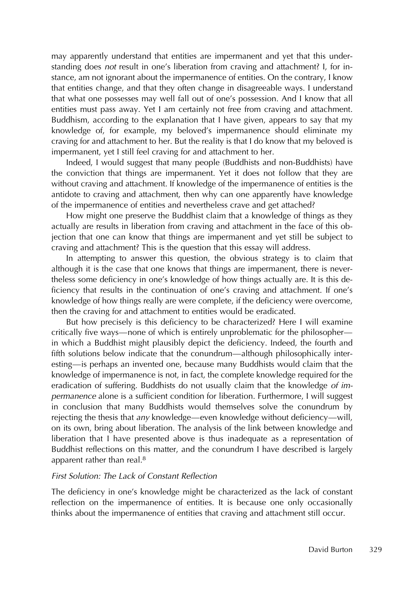may apparently understand that entities are impermanent and yet that this understanding does not result in one's liberation from craving and attachment? I, for instance, am not ignorant about the impermanence of entities. On the contrary, I know that entities change, and that they often change in disagreeable ways. I understand that what one possesses may well fall out of one's possession. And I know that all entities must pass away. Yet I am certainly not free from craving and attachment. Buddhism, according to the explanation that I have given, appears to say that my knowledge of, for example, my beloved's impermanence should eliminate my craving for and attachment to her. But the reality is that I do know that my beloved is impermanent, yet I still feel craving for and attachment to her.

Indeed, I would suggest that many people (Buddhists and non-Buddhists) have the conviction that things are impermanent. Yet it does not follow that they are without craving and attachment. If knowledge of the impermanence of entities is the antidote to craving and attachment, then why can one apparently have knowledge of the impermanence of entities and nevertheless crave and get attached?

How might one preserve the Buddhist claim that a knowledge of things as they actually are results in liberation from craving and attachment in the face of this objection that one can know that things are impermanent and yet still be subject to craving and attachment? This is the question that this essay will address.

In attempting to answer this question, the obvious strategy is to claim that although it is the case that one knows that things are impermanent, there is nevertheless some deficiency in one's knowledge of how things actually are. It is this deficiency that results in the continuation of one's craving and attachment. If one's knowledge of how things really are were complete, if the deficiency were overcome, then the craving for and attachment to entities would be eradicated.

But how precisely is this deficiency to be characterized? Here I will examine critically five ways—none of which is entirely unproblematic for the philosopher in which a Buddhist might plausibly depict the deficiency. Indeed, the fourth and fifth solutions below indicate that the conundrum—although philosophically interesting—is perhaps an invented one, because many Buddhists would claim that the knowledge of impermanence is not, in fact, the complete knowledge required for the eradication of suffering. Buddhists do not usually claim that the knowledge of impermanence alone is a sufficient condition for liberation. Furthermore, I will suggest in conclusion that many Buddhists would themselves solve the conundrum by rejecting the thesis that any knowledge—even knowledge without deficiency—will, on its own, bring about liberation. The analysis of the link between knowledge and liberation that I have presented above is thus inadequate as a representation of Buddhist reflections on this matter, and the conundrum I have described is largely apparent rather than real.<sup>8</sup>

# First Solution: The Lack of Constant Reflection

The deficiency in one's knowledge might be characterized as the lack of constant reflection on the impermanence of entities. It is because one only occasionally thinks about the impermanence of entities that craving and attachment still occur.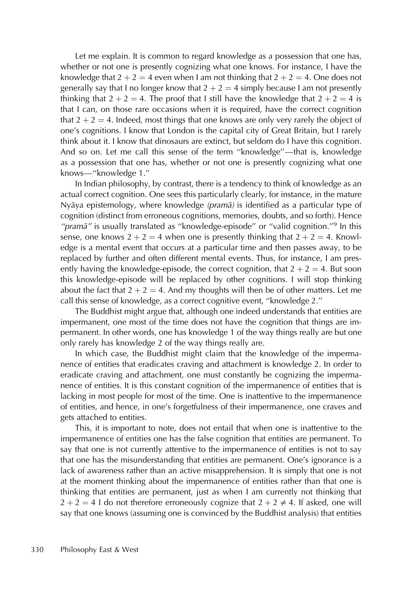Let me explain. It is common to regard knowledge as a possession that one has, whether or not one is presently cognizing what one knows. For instance, I have the knowledge that  $2 + 2 = 4$  even when I am not thinking that  $2 + 2 = 4$ . One does not generally say that I no longer know that  $2 + 2 = 4$  simply because I am not presently thinking that  $2 + 2 = 4$ . The proof that I still have the knowledge that  $2 + 2 = 4$  is that I can, on those rare occasions when it is required, have the correct cognition that  $2 + 2 = 4$ . Indeed, most things that one knows are only very rarely the object of one's cognitions. I know that London is the capital city of Great Britain, but I rarely think about it. I know that dinosaurs are extinct, but seldom do I have this cognition. And so on. Let me call this sense of the term ''knowledge''—that is, knowledge as a possession that one has, whether or not one is presently cognizing what one knows—''knowledge 1.''

In Indian philosophy, by contrast, there is a tendency to think of knowledge as an actual correct cognition. One sees this particularly clearly, for instance, in the mature Nyāya epistemology, where knowledge (pramā) is identified as a particular type of cognition (distinct from erroneous cognitions, memories, doubts, and so forth). Hence "pramā" is usually translated as "knowledge-episode" or "valid cognition."<sup>9</sup> In this sense, one knows  $2 + 2 = 4$  when one is presently thinking that  $2 + 2 = 4$ . Knowledge is a mental event that occurs at a particular time and then passes away, to be replaced by further and often different mental events. Thus, for instance, I am presently having the knowledge-episode, the correct cognition, that  $2 + 2 = 4$ . But soon this knowledge-episode will be replaced by other cognitions. I will stop thinking about the fact that  $2 + 2 = 4$ . And my thoughts will then be of other matters. Let me call this sense of knowledge, as a correct cognitive event, ''knowledge 2.''

The Buddhist might argue that, although one indeed understands that entities are impermanent, one most of the time does not have the cognition that things are impermanent. In other words, one has knowledge 1 of the way things really are but one only rarely has knowledge 2 of the way things really are.

In which case, the Buddhist might claim that the knowledge of the impermanence of entities that eradicates craving and attachment is knowledge 2. In order to eradicate craving and attachment, one must constantly be cognizing the impermanence of entities. It is this constant cognition of the impermanence of entities that is lacking in most people for most of the time. One is inattentive to the impermanence of entities, and hence, in one's forgetfulness of their impermanence, one craves and gets attached to entities.

This, it is important to note, does not entail that when one is inattentive to the impermanence of entities one has the false cognition that entities are permanent. To say that one is not currently attentive to the impermanence of entities is not to say that one has the misunderstanding that entities are permanent. One's ignorance is a lack of awareness rather than an active misapprehension. It is simply that one is not at the moment thinking about the impermanence of entities rather than that one is thinking that entities are permanent, just as when I am currently not thinking that  $2 + 2 = 4$  I do not therefore erroneously cognize that  $2 + 2 \neq 4$ . If asked, one will say that one knows (assuming one is convinced by the Buddhist analysis) that entities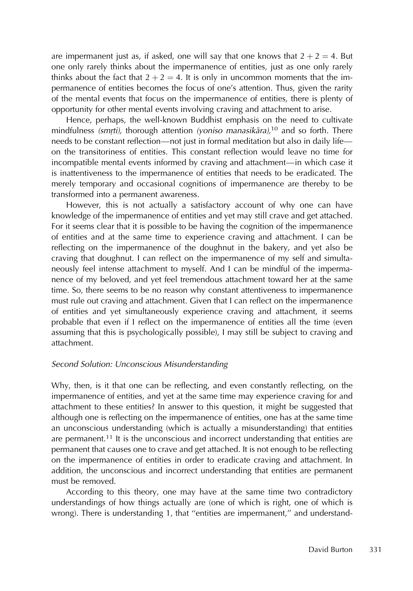are impermanent just as, if asked, one will say that one knows that  $2 + 2 = 4$ . But one only rarely thinks about the impermanence of entities, just as one only rarely thinks about the fact that  $2 + 2 = 4$ . It is only in uncommon moments that the impermanence of entities becomes the focus of one's attention. Thus, given the rarity of the mental events that focus on the impermanence of entities, there is plenty of opportunity for other mental events involving craving and attachment to arise.

Hence, perhaps, the well-known Buddhist emphasis on the need to cultivate mindfulness *(smrti),* thorough attention *(yoniso manasikāra)*,<sup>10</sup> and so forth. There<br>poods to be constant reflection, not just in formal moditation but also in daily life needs to be constant reflection—not just in formal meditation but also in daily life on the transitoriness of entities. This constant reflection would leave no time for incompatible mental events informed by craving and attachment—in which case it is inattentiveness to the impermanence of entities that needs to be eradicated. The merely temporary and occasional cognitions of impermanence are thereby to be transformed into a permanent awareness.

However, this is not actually a satisfactory account of why one can have knowledge of the impermanence of entities and yet may still crave and get attached. For it seems clear that it is possible to be having the cognition of the impermanence of entities and at the same time to experience craving and attachment. I can be reflecting on the impermanence of the doughnut in the bakery, and yet also be craving that doughnut. I can reflect on the impermanence of my self and simultaneously feel intense attachment to myself. And I can be mindful of the impermanence of my beloved, and yet feel tremendous attachment toward her at the same time. So, there seems to be no reason why constant attentiveness to impermanence must rule out craving and attachment. Given that I can reflect on the impermanence of entities and yet simultaneously experience craving and attachment, it seems probable that even if I reflect on the impermanence of entities all the time (even assuming that this is psychologically possible), I may still be subject to craving and attachment.

# Second Solution: Unconscious Misunderstanding

Why, then, is it that one can be reflecting, and even constantly reflecting, on the impermanence of entities, and yet at the same time may experience craving for and attachment to these entities? In answer to this question, it might be suggested that although one is reflecting on the impermanence of entities, one has at the same time an unconscious understanding (which is actually a misunderstanding) that entities are permanent.<sup>11</sup> It is the unconscious and incorrect understanding that entities are permanent that causes one to crave and get attached. It is not enough to be reflecting on the impermanence of entities in order to eradicate craving and attachment. In addition, the unconscious and incorrect understanding that entities are permanent must be removed.

According to this theory, one may have at the same time two contradictory understandings of how things actually are (one of which is right, one of which is wrong). There is understanding 1, that ''entities are impermanent,'' and understand-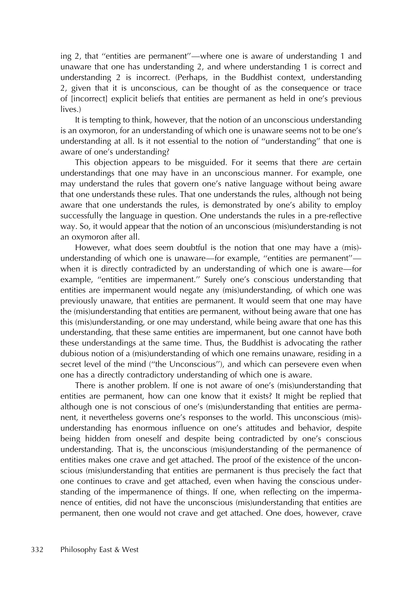ing 2, that ''entities are permanent''—where one is aware of understanding 1 and unaware that one has understanding 2, and where understanding 1 is correct and understanding 2 is incorrect. (Perhaps, in the Buddhist context, understanding 2, given that it is unconscious, can be thought of as the consequence or trace of [incorrect] explicit beliefs that entities are permanent as held in one's previous lives.)

It is tempting to think, however, that the notion of an unconscious understanding is an oxymoron, for an understanding of which one is unaware seems not to be one's understanding at all. Is it not essential to the notion of ''understanding'' that one is aware of one's understanding?

This objection appears to be misguided. For it seems that there are certain understandings that one may have in an unconscious manner. For example, one may understand the rules that govern one's native language without being aware that one understands these rules. That one understands the rules, although not being aware that one understands the rules, is demonstrated by one's ability to employ successfully the language in question. One understands the rules in a pre-reflective way. So, it would appear that the notion of an unconscious (mis)understanding is not an oxymoron after all.

However, what does seem doubtful is the notion that one may have a (mis)understanding of which one is unaware—for example, ''entities are permanent'' when it is directly contradicted by an understanding of which one is aware—for example, "entities are impermanent." Surely one's conscious understanding that entities are impermanent would negate any (mis)understanding, of which one was previously unaware, that entities are permanent. It would seem that one may have the (mis)understanding that entities are permanent, without being aware that one has this (mis)understanding, or one may understand, while being aware that one has this understanding, that these same entities are impermanent, but one cannot have both these understandings at the same time. Thus, the Buddhist is advocating the rather dubious notion of a (mis)understanding of which one remains unaware, residing in a secret level of the mind ("the Unconscious"), and which can persevere even when one has a directly contradictory understanding of which one is aware.

There is another problem. If one is not aware of one's (mis)understanding that entities are permanent, how can one know that it exists? It might be replied that although one is not conscious of one's (mis)understanding that entities are permanent, it nevertheless governs one's responses to the world. This unconscious (mis) understanding has enormous influence on one's attitudes and behavior, despite being hidden from oneself and despite being contradicted by one's conscious understanding. That is, the unconscious (mis)understanding of the permanence of entities makes one crave and get attached. The proof of the existence of the unconscious (mis)understanding that entities are permanent is thus precisely the fact that one continues to crave and get attached, even when having the conscious understanding of the impermanence of things. If one, when reflecting on the impermanence of entities, did not have the unconscious (mis)understanding that entities are permanent, then one would not crave and get attached. One does, however, crave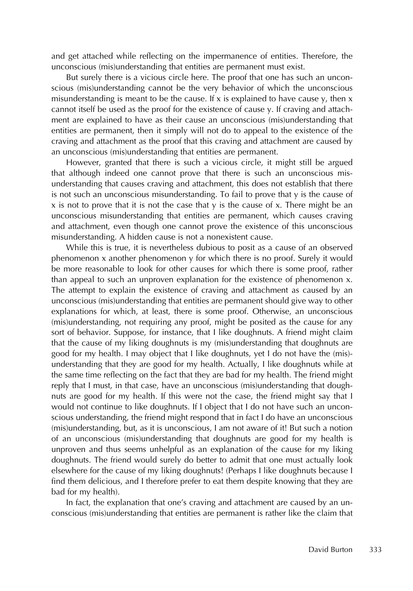and get attached while reflecting on the impermanence of entities. Therefore, the unconscious (mis)understanding that entities are permanent must exist.

But surely there is a vicious circle here. The proof that one has such an unconscious (mis)understanding cannot be the very behavior of which the unconscious misunderstanding is meant to be the cause. If x is explained to have cause y, then x cannot itself be used as the proof for the existence of cause y. If craving and attachment are explained to have as their cause an unconscious (mis)understanding that entities are permanent, then it simply will not do to appeal to the existence of the craving and attachment as the proof that this craving and attachment are caused by an unconscious (mis)understanding that entities are permanent.

However, granted that there is such a vicious circle, it might still be argued that although indeed one cannot prove that there is such an unconscious misunderstanding that causes craving and attachment, this does not establish that there is not such an unconscious misunderstanding. To fail to prove that y is the cause of  $x$  is not to prove that it is not the case that  $y$  is the cause of  $x$ . There might be an unconscious misunderstanding that entities are permanent, which causes craving and attachment, even though one cannot prove the existence of this unconscious misunderstanding. A hidden cause is not a nonexistent cause.

While this is true, it is nevertheless dubious to posit as a cause of an observed phenomenon x another phenomenon y for which there is no proof. Surely it would be more reasonable to look for other causes for which there is some proof, rather than appeal to such an unproven explanation for the existence of phenomenon x. The attempt to explain the existence of craving and attachment as caused by an unconscious (mis)understanding that entities are permanent should give way to other explanations for which, at least, there is some proof. Otherwise, an unconscious (mis)understanding, not requiring any proof, might be posited as the cause for any sort of behavior. Suppose, for instance, that I like doughnuts. A friend might claim that the cause of my liking doughnuts is my (mis)understanding that doughnuts are good for my health. I may object that I like doughnuts, yet I do not have the (mis) understanding that they are good for my health. Actually, I like doughnuts while at the same time reflecting on the fact that they are bad for my health. The friend might reply that I must, in that case, have an unconscious (mis)understanding that doughnuts are good for my health. If this were not the case, the friend might say that I would not continue to like doughnuts. If I object that I do not have such an unconscious understanding, the friend might respond that in fact I do have an unconscious (mis)understanding, but, as it is unconscious, I am not aware of it! But such a notion of an unconscious (mis)understanding that doughnuts are good for my health is unproven and thus seems unhelpful as an explanation of the cause for my liking doughnuts. The friend would surely do better to admit that one must actually look elsewhere for the cause of my liking doughnuts! (Perhaps I like doughnuts because I find them delicious, and I therefore prefer to eat them despite knowing that they are bad for my health).

In fact, the explanation that one's craving and attachment are caused by an unconscious (mis)understanding that entities are permanent is rather like the claim that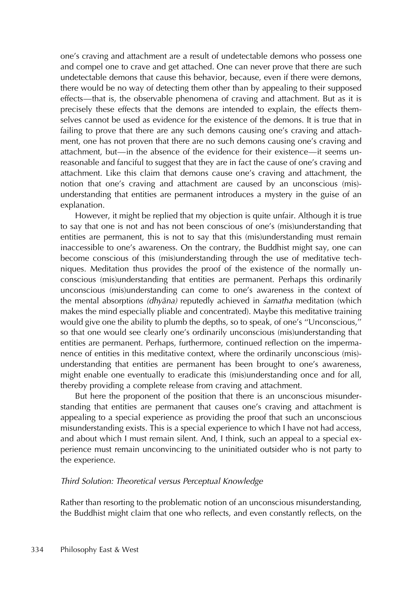one's craving and attachment are a result of undetectable demons who possess one and compel one to crave and get attached. One can never prove that there are such undetectable demons that cause this behavior, because, even if there were demons, there would be no way of detecting them other than by appealing to their supposed effects—that is, the observable phenomena of craving and attachment. But as it is precisely these effects that the demons are intended to explain, the effects themselves cannot be used as evidence for the existence of the demons. It is true that in failing to prove that there are any such demons causing one's craving and attachment, one has not proven that there are no such demons causing one's craving and attachment, but—in the absence of the evidence for their existence—it seems unreasonable and fanciful to suggest that they are in fact the cause of one's craving and attachment. Like this claim that demons cause one's craving and attachment, the notion that one's craving and attachment are caused by an unconscious (mis) understanding that entities are permanent introduces a mystery in the guise of an explanation.

However, it might be replied that my objection is quite unfair. Although it is true to say that one is not and has not been conscious of one's (mis)understanding that entities are permanent, this is not to say that this (mis)understanding must remain inaccessible to one's awareness. On the contrary, the Buddhist might say, one can become conscious of this (mis)understanding through the use of meditative techniques. Meditation thus provides the proof of the existence of the normally unconscious (mis)understanding that entities are permanent. Perhaps this ordinarily unconscious (mis)understanding can come to one's awareness in the context of the mental absorptions (dhyāna) reputedly achieved in samatha meditation (which makes the mind especially pliable and concentrated). Maybe this meditative training would give one the ability to plumb the depths, so to speak, of one's ''Unconscious,'' so that one would see clearly one's ordinarily unconscious (mis)understanding that entities are permanent. Perhaps, furthermore, continued reflection on the impermanence of entities in this meditative context, where the ordinarily unconscious (mis) understanding that entities are permanent has been brought to one's awareness, might enable one eventually to eradicate this (mis)understanding once and for all, thereby providing a complete release from craving and attachment.

But here the proponent of the position that there is an unconscious misunderstanding that entities are permanent that causes one's craving and attachment is appealing to a special experience as providing the proof that such an unconscious misunderstanding exists. This is a special experience to which I have not had access, and about which I must remain silent. And, I think, such an appeal to a special experience must remain unconvincing to the uninitiated outsider who is not party to the experience.

# Third Solution: Theoretical versus Perceptual Knowledge

Rather than resorting to the problematic notion of an unconscious misunderstanding, the Buddhist might claim that one who reflects, and even constantly reflects, on the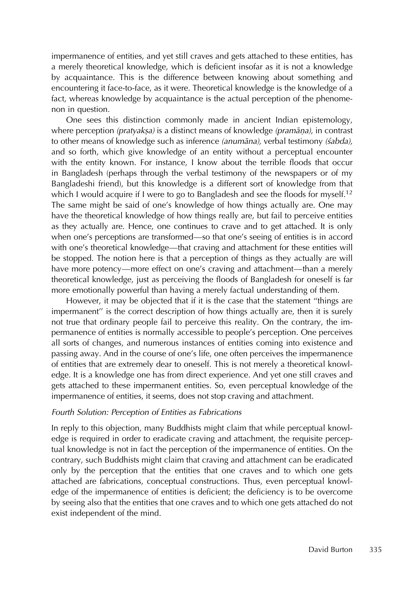impermanence of entities, and yet still craves and gets attached to these entities, has a merely theoretical knowledge, which is deficient insofar as it is not a knowledge by acquaintance. This is the difference between knowing about something and encountering it face-to-face, as it were. Theoretical knowledge is the knowledge of a fact, whereas knowledge by acquaintance is the actual perception of the phenomenon in question.

One sees this distinction commonly made in ancient Indian epistemology, where perception *(pratyakṣa)* is a distinct means of knowledge *(pramāṇa),* in contrast<br>to other means of knowledge such as inference *(anumāna*), verbal testimony *(śabda*) to other means of knowledge such as inference (anumana), verbal testimony (sabda), and so forth, which give knowledge of an entity without a perceptual encounter with the entity known. For instance, I know about the terrible floods that occur in Bangladesh (perhaps through the verbal testimony of the newspapers or of my Bangladeshi friend), but this knowledge is a different sort of knowledge from that which I would acquire if I were to go to Bangladesh and see the floods for myself.<sup>12</sup> The same might be said of one's knowledge of how things actually are. One may have the theoretical knowledge of how things really are, but fail to perceive entities as they actually are. Hence, one continues to crave and to get attached. It is only when one's perceptions are transformed—so that one's seeing of entities is in accord with one's theoretical knowledge—that craving and attachment for these entities will be stopped. The notion here is that a perception of things as they actually are will have more potency—more effect on one's craving and attachment—than a merely theoretical knowledge, just as perceiving the floods of Bangladesh for oneself is far more emotionally powerful than having a merely factual understanding of them.

However, it may be objected that if it is the case that the statement ''things are impermanent'' is the correct description of how things actually are, then it is surely not true that ordinary people fail to perceive this reality. On the contrary, the impermanence of entities is normally accessible to people's perception. One perceives all sorts of changes, and numerous instances of entities coming into existence and passing away. And in the course of one's life, one often perceives the impermanence of entities that are extremely dear to oneself. This is not merely a theoretical knowledge. It is a knowledge one has from direct experience. And yet one still craves and gets attached to these impermanent entities. So, even perceptual knowledge of the impermanence of entities, it seems, does not stop craving and attachment.

#### Fourth Solution: Perception of Entities as Fabrications

In reply to this objection, many Buddhists might claim that while perceptual knowledge is required in order to eradicate craving and attachment, the requisite perceptual knowledge is not in fact the perception of the impermanence of entities. On the contrary, such Buddhists might claim that craving and attachment can be eradicated only by the perception that the entities that one craves and to which one gets attached are fabrications, conceptual constructions. Thus, even perceptual knowledge of the impermanence of entities is deficient; the deficiency is to be overcome by seeing also that the entities that one craves and to which one gets attached do not exist independent of the mind.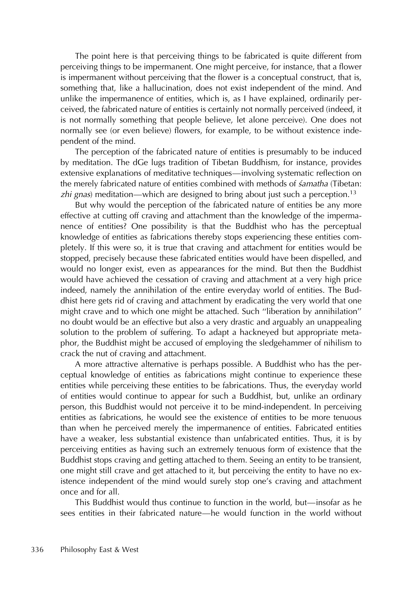The point here is that perceiving things to be fabricated is quite different from perceiving things to be impermanent. One might perceive, for instance, that a flower is impermanent without perceiving that the flower is a conceptual construct, that is, something that, like a hallucination, does not exist independent of the mind. And unlike the impermanence of entities, which is, as I have explained, ordinarily perceived, the fabricated nature of entities is certainly not normally perceived (indeed, it is not normally something that people believe, let alone perceive). One does not normally see (or even believe) flowers, for example, to be without existence independent of the mind.

The perception of the fabricated nature of entities is presumably to be induced by meditation. The dGe lugs tradition of Tibetan Buddhism, for instance, provides extensive explanations of meditative techniques—involving systematic reflection on the merely fabricated nature of entities combined with methods of *samatha* (Tibetan: zhi gnas) meditation—which are designed to bring about just such a perception.<sup>13</sup>

But why would the perception of the fabricated nature of entities be any more effective at cutting off craving and attachment than the knowledge of the impermanence of entities? One possibility is that the Buddhist who has the perceptual knowledge of entities as fabrications thereby stops experiencing these entities completely. If this were so, it is true that craving and attachment for entities would be stopped, precisely because these fabricated entities would have been dispelled, and would no longer exist, even as appearances for the mind. But then the Buddhist would have achieved the cessation of craving and attachment at a very high price indeed, namely the annihilation of the entire everyday world of entities. The Buddhist here gets rid of craving and attachment by eradicating the very world that one might crave and to which one might be attached. Such ''liberation by annihilation'' no doubt would be an effective but also a very drastic and arguably an unappealing solution to the problem of suffering. To adapt a hackneyed but appropriate metaphor, the Buddhist might be accused of employing the sledgehammer of nihilism to crack the nut of craving and attachment.

A more attractive alternative is perhaps possible. A Buddhist who has the perceptual knowledge of entities as fabrications might continue to experience these entities while perceiving these entities to be fabrications. Thus, the everyday world of entities would continue to appear for such a Buddhist, but, unlike an ordinary person, this Buddhist would not perceive it to be mind-independent. In perceiving entities as fabrications, he would see the existence of entities to be more tenuous than when he perceived merely the impermanence of entities. Fabricated entities have a weaker, less substantial existence than unfabricated entities. Thus, it is by perceiving entities as having such an extremely tenuous form of existence that the Buddhist stops craving and getting attached to them. Seeing an entity to be transient, one might still crave and get attached to it, but perceiving the entity to have no existence independent of the mind would surely stop one's craving and attachment once and for all.

This Buddhist would thus continue to function in the world, but—insofar as he sees entities in their fabricated nature—he would function in the world without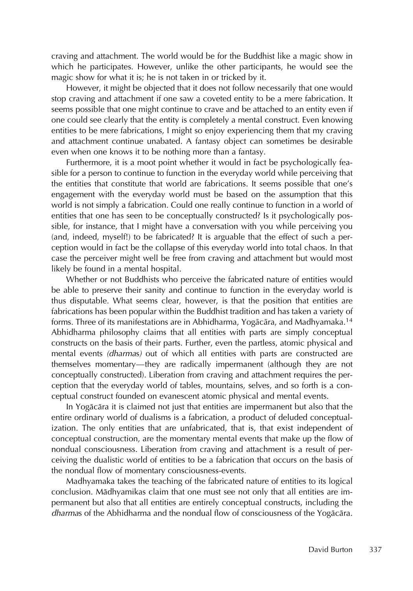craving and attachment. The world would be for the Buddhist like a magic show in which he participates. However, unlike the other participants, he would see the magic show for what it is; he is not taken in or tricked by it.

However, it might be objected that it does not follow necessarily that one would stop craving and attachment if one saw a coveted entity to be a mere fabrication. It seems possible that one might continue to crave and be attached to an entity even if one could see clearly that the entity is completely a mental construct. Even knowing entities to be mere fabrications, I might so enjoy experiencing them that my craving and attachment continue unabated. A fantasy object can sometimes be desirable even when one knows it to be nothing more than a fantasy.

Furthermore, it is a moot point whether it would in fact be psychologically feasible for a person to continue to function in the everyday world while perceiving that the entities that constitute that world are fabrications. It seems possible that one's engagement with the everyday world must be based on the assumption that this world is not simply a fabrication. Could one really continue to function in a world of entities that one has seen to be conceptually constructed? Is it psychologically possible, for instance, that I might have a conversation with you while perceiving you (and, indeed, myself!) to be fabricated? It is arguable that the effect of such a perception would in fact be the collapse of this everyday world into total chaos. In that case the perceiver might well be free from craving and attachment but would most likely be found in a mental hospital.

Whether or not Buddhists who perceive the fabricated nature of entities would be able to preserve their sanity and continue to function in the everyday world is thus disputable. What seems clear, however, is that the position that entities are fabrications has been popular within the Buddhist tradition and has taken a variety of forms. Three of its manifestations are in Abhidharma, Yogācāra, and Madhyamaka.<sup>14</sup> Abhidharma philosophy claims that all entities with parts are simply conceptual constructs on the basis of their parts. Further, even the partless, atomic physical and mental events (dharmas) out of which all entities with parts are constructed are themselves momentary—they are radically impermanent (although they are not conceptually constructed). Liberation from craving and attachment requires the perception that the everyday world of tables, mountains, selves, and so forth is a conceptual construct founded on evanescent atomic physical and mental events.

In Yogācāra it is claimed not just that entities are impermanent but also that the entire ordinary world of dualisms is a fabrication, a product of deluded conceptualization. The only entities that are unfabricated, that is, that exist independent of conceptual construction, are the momentary mental events that make up the flow of nondual consciousness. Liberation from craving and attachment is a result of perceiving the dualistic world of entities to be a fabrication that occurs on the basis of the nondual flow of momentary consciousness-events.

Madhyamaka takes the teaching of the fabricated nature of entities to its logical conclusion. Mādhyamikas claim that one must see not only that all entities are impermanent but also that all entities are entirely conceptual constructs, including the dharmas of the Abhidharma and the nondual flow of consciousness of the Yogācāra.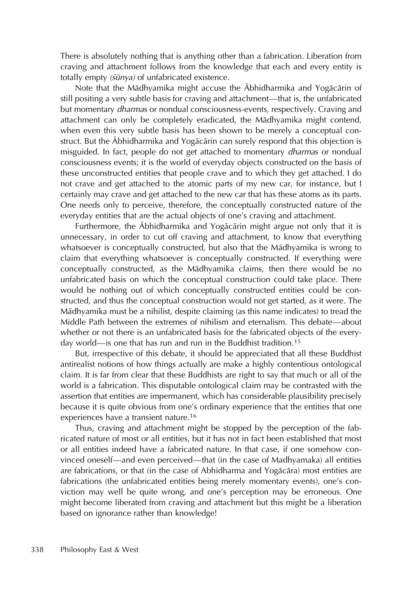There is absolutely nothing that is anything other than a fabrication. Liberation from craving and attachment follows from the knowledge that each and every entity is totally empty (sūnya) of unfabricated existence.

Note that the Mādhyamika might accuse the Ābhidharmika and Yogācārin of still positing a very subtle basis for craving and attachment—that is, the unfabricated but momentary *dharmas* or nondual consciousness-events, respectively. Craving and attachment can only be completely eradicated, the Mādhyamika might contend, when even this very subtle basis has been shown to be merely a conceptual construct. But the Abhidharmika and Yogācārin can surely respond that this objection is misguided. In fact, people do not get attached to momentary *dharmas* or nondual consciousness events; it is the world of everyday objects constructed on the basis of these unconstructed entities that people crave and to which they get attached. I do not crave and get attached to the atomic parts of my new car, for instance, but I certainly may crave and get attached to the new car that has these atoms as its parts. One needs only to perceive, therefore, the conceptually constructed nature of the everyday entities that are the actual objects of one's craving and attachment.

Furthermore, the Ābhidharmika and Yogācārin might argue not only that it is unnecessary, in order to cut off craving and attachment, to know that everything whatsoever is conceptually constructed, but also that the Mādhyamika is wrong to claim that everything whatsoever is conceptually constructed. If everything were conceptually constructed, as the Mādhyamika claims, then there would be no unfabricated basis on which the conceptual construction could take place. There would be nothing out of which conceptually constructed entities could be constructed, and thus the conceptual construction would not get started, as it were. The Mādhyamika must be a nihilist, despite claiming (as this name indicates) to tread the Middle Path between the extremes of nihilism and eternalism. This debate—about whether or not there is an unfabricated basis for the fabricated objects of the everyday world—is one that has run and run in the Buddhist tradition.<sup>15</sup>

But, irrespective of this debate, it should be appreciated that all these Buddhist antirealist notions of how things actually are make a highly contentious ontological claim. It is far from clear that these Buddhists are right to say that much or all of the world is a fabrication. This disputable ontological claim may be contrasted with the assertion that entities are impermanent, which has considerable plausibility precisely because it is quite obvious from one's ordinary experience that the entities that one experiences have a transient nature.<sup>16</sup>

Thus, craving and attachment might be stopped by the perception of the fabricated nature of most or all entities, but it has not in fact been established that most or all entities indeed have a fabricated nature. In that case, if one somehow convinced oneself—and even perceived—that (in the case of Madhyamaka) all entities are fabrications, or that (in the case of Abhidharma and Yogācāra) most entities are fabrications (the unfabricated entities being merely momentary events), one's conviction may well be quite wrong, and one's perception may be erroneous. One might become liberated from craving and attachment but this might be a liberation based on ignorance rather than knowledge!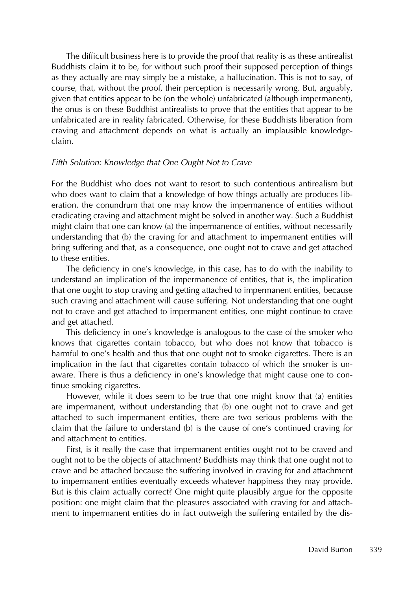The difficult business here is to provide the proof that reality is as these antirealist Buddhists claim it to be, for without such proof their supposed perception of things as they actually are may simply be a mistake, a hallucination. This is not to say, of course, that, without the proof, their perception is necessarily wrong. But, arguably, given that entities appear to be (on the whole) unfabricated (although impermanent), the onus is on these Buddhist antirealists to prove that the entities that appear to be unfabricated are in reality fabricated. Otherwise, for these Buddhists liberation from craving and attachment depends on what is actually an implausible knowledgeclaim.

# Fifth Solution: Knowledge that One Ought Not to Crave

For the Buddhist who does not want to resort to such contentious antirealism but who does want to claim that a knowledge of how things actually are produces liberation, the conundrum that one may know the impermanence of entities without eradicating craving and attachment might be solved in another way. Such a Buddhist might claim that one can know (a) the impermanence of entities, without necessarily understanding that (b) the craving for and attachment to impermanent entities will bring suffering and that, as a consequence, one ought not to crave and get attached to these entities.

The deficiency in one's knowledge, in this case, has to do with the inability to understand an implication of the impermanence of entities, that is, the implication that one ought to stop craving and getting attached to impermanent entities, because such craving and attachment will cause suffering. Not understanding that one ought not to crave and get attached to impermanent entities, one might continue to crave and get attached.

This deficiency in one's knowledge is analogous to the case of the smoker who knows that cigarettes contain tobacco, but who does not know that tobacco is harmful to one's health and thus that one ought not to smoke cigarettes. There is an implication in the fact that cigarettes contain tobacco of which the smoker is unaware. There is thus a deficiency in one's knowledge that might cause one to continue smoking cigarettes.

However, while it does seem to be true that one might know that (a) entities are impermanent, without understanding that (b) one ought not to crave and get attached to such impermanent entities, there are two serious problems with the claim that the failure to understand (b) is the cause of one's continued craving for and attachment to entities.

First, is it really the case that impermanent entities ought not to be craved and ought not to be the objects of attachment? Buddhists may think that one ought not to crave and be attached because the suffering involved in craving for and attachment to impermanent entities eventually exceeds whatever happiness they may provide. But is this claim actually correct? One might quite plausibly argue for the opposite position: one might claim that the pleasures associated with craving for and attachment to impermanent entities do in fact outweigh the suffering entailed by the dis-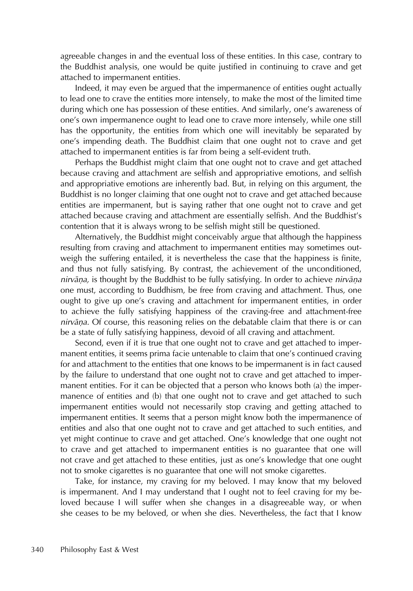agreeable changes in and the eventual loss of these entities. In this case, contrary to the Buddhist analysis, one would be quite justified in continuing to crave and get attached to impermanent entities.

Indeed, it may even be argued that the impermanence of entities ought actually to lead one to crave the entities more intensely, to make the most of the limited time during which one has possession of these entities. And similarly, one's awareness of one's own impermanence ought to lead one to crave more intensely, while one still has the opportunity, the entities from which one will inevitably be separated by one's impending death. The Buddhist claim that one ought not to crave and get attached to impermanent entities is far from being a self-evident truth.

Perhaps the Buddhist might claim that one ought not to crave and get attached because craving and attachment are selfish and appropriative emotions, and selfish and appropriative emotions are inherently bad. But, in relying on this argument, the Buddhist is no longer claiming that one ought not to crave and get attached because entities are impermanent, but is saying rather that one ought not to crave and get attached because craving and attachment are essentially selfish. And the Buddhist's contention that it is always wrong to be selfish might still be questioned.

Alternatively, the Buddhist might conceivably argue that although the happiness resulting from craving and attachment to impermanent entities may sometimes outweigh the suffering entailed, it is nevertheless the case that the happiness is finite, and thus not fully satisfying. By contrast, the achievement of the unconditioned, nirvāņa, is thought by the Buddhist to be fully satisfying. In order to achieve nirvāņa one must, according to Buddhism, be free from craving and attachment. Thus, one ought to give up one's craving and attachment for impermanent entities, in order to achieve the fully satisfying happiness of the craving-free and attachment-free nirvāņa. Of course, this reasoning relies on the debatable claim that there is or can be a state of fully satisfying happiness, devoid of all craving and attachment.

Second, even if it is true that one ought not to crave and get attached to impermanent entities, it seems prima facie untenable to claim that one's continued craving for and attachment to the entities that one knows to be impermanent is in fact caused by the failure to understand that one ought not to crave and get attached to impermanent entities. For it can be objected that a person who knows both (a) the impermanence of entities and (b) that one ought not to crave and get attached to such impermanent entities would not necessarily stop craving and getting attached to impermanent entities. It seems that a person might know both the impermanence of entities and also that one ought not to crave and get attached to such entities, and yet might continue to crave and get attached. One's knowledge that one ought not to crave and get attached to impermanent entities is no guarantee that one will not crave and get attached to these entities, just as one's knowledge that one ought not to smoke cigarettes is no guarantee that one will not smoke cigarettes.

Take, for instance, my craving for my beloved. I may know that my beloved is impermanent. And I may understand that I ought not to feel craving for my beloved because I will suffer when she changes in a disagreeable way, or when she ceases to be my beloved, or when she dies. Nevertheless, the fact that I know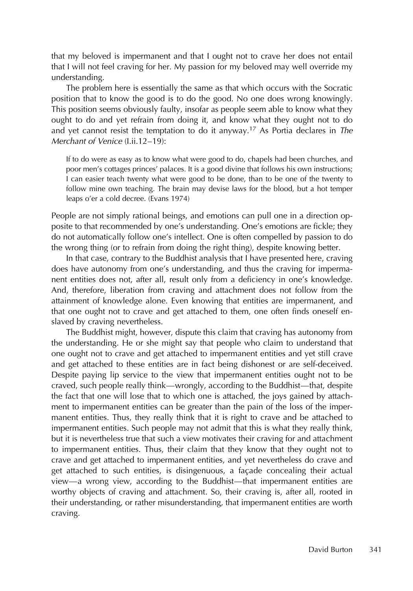that my beloved is impermanent and that I ought not to crave her does not entail that I will not feel craving for her. My passion for my beloved may well override my understanding.

The problem here is essentially the same as that which occurs with the Socratic position that to know the good is to do the good. No one does wrong knowingly. This position seems obviously faulty, insofar as people seem able to know what they ought to do and yet refrain from doing it, and know what they ought not to do and yet cannot resist the temptation to do it anyway.<sup>17</sup> As Portia declares in The Merchant of Venice (I.ii.12–19):

If to do were as easy as to know what were good to do, chapels had been churches, and poor men's cottages princes' palaces. It is a good divine that follows his own instructions; I can easier teach twenty what were good to be done, than to be one of the twenty to follow mine own teaching. The brain may devise laws for the blood, but a hot temper leaps o'er a cold decree. (Evans 1974)

People are not simply rational beings, and emotions can pull one in a direction opposite to that recommended by one's understanding. One's emotions are fickle; they do not automatically follow one's intellect. One is often compelled by passion to do the wrong thing (or to refrain from doing the right thing), despite knowing better.

In that case, contrary to the Buddhist analysis that I have presented here, craving does have autonomy from one's understanding, and thus the craving for impermanent entities does not, after all, result only from a deficiency in one's knowledge. And, therefore, liberation from craving and attachment does not follow from the attainment of knowledge alone. Even knowing that entities are impermanent, and that one ought not to crave and get attached to them, one often finds oneself enslaved by craving nevertheless.

The Buddhist might, however, dispute this claim that craving has autonomy from the understanding. He or she might say that people who claim to understand that one ought not to crave and get attached to impermanent entities and yet still crave and get attached to these entities are in fact being dishonest or are self-deceived. Despite paying lip service to the view that impermanent entities ought not to be craved, such people really think—wrongly, according to the Buddhist—that, despite the fact that one will lose that to which one is attached, the joys gained by attachment to impermanent entities can be greater than the pain of the loss of the impermanent entities. Thus, they really think that it is right to crave and be attached to impermanent entities. Such people may not admit that this is what they really think, but it is nevertheless true that such a view motivates their craving for and attachment to impermanent entities. Thus, their claim that they know that they ought not to crave and get attached to impermanent entities, and yet nevertheless do crave and get attached to such entities, is disingenuous, a façade concealing their actual view—a wrong view, according to the Buddhist—that impermanent entities are worthy objects of craving and attachment. So, their craving is, after all, rooted in their understanding, or rather misunderstanding, that impermanent entities are worth craving.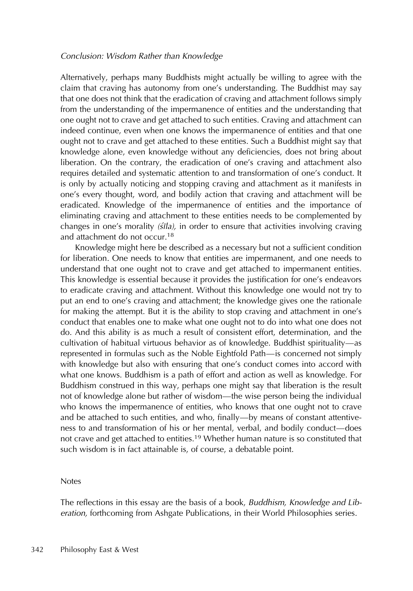# Conclusion: Wisdom Rather than Knowledge

Alternatively, perhaps many Buddhists might actually be willing to agree with the claim that craving has autonomy from one's understanding. The Buddhist may say that one does not think that the eradication of craving and attachment follows simply from the understanding of the impermanence of entities and the understanding that one ought not to crave and get attached to such entities. Craving and attachment can indeed continue, even when one knows the impermanence of entities and that one ought not to crave and get attached to these entities. Such a Buddhist might say that knowledge alone, even knowledge without any deficiencies, does not bring about liberation. On the contrary, the eradication of one's craving and attachment also requires detailed and systematic attention to and transformation of one's conduct. It is only by actually noticing and stopping craving and attachment as it manifests in one's every thought, word, and bodily action that craving and attachment will be eradicated. Knowledge of the impermanence of entities and the importance of eliminating craving and attachment to these entities needs to be complemented by changes in one's morality ( $\frac{\xi}{\eta}$ ), in order to ensure that activities involving craving and attachment do not occur.<sup>18</sup>

Knowledge might here be described as a necessary but not a sufficient condition for liberation. One needs to know that entities are impermanent, and one needs to understand that one ought not to crave and get attached to impermanent entities. This knowledge is essential because it provides the justification for one's endeavors to eradicate craving and attachment. Without this knowledge one would not try to put an end to one's craving and attachment; the knowledge gives one the rationale for making the attempt. But it is the ability to stop craving and attachment in one's conduct that enables one to make what one ought not to do into what one does not do. And this ability is as much a result of consistent effort, determination, and the cultivation of habitual virtuous behavior as of knowledge. Buddhist spirituality—as represented in formulas such as the Noble Eightfold Path—is concerned not simply with knowledge but also with ensuring that one's conduct comes into accord with what one knows. Buddhism is a path of effort and action as well as knowledge. For Buddhism construed in this way, perhaps one might say that liberation is the result not of knowledge alone but rather of wisdom—the wise person being the individual who knows the impermanence of entities, who knows that one ought not to crave and be attached to such entities, and who, finally—by means of constant attentiveness to and transformation of his or her mental, verbal, and bodily conduct—does not crave and get attached to entities.<sup>19</sup> Whether human nature is so constituted that such wisdom is in fact attainable is, of course, a debatable point.

#### Notes

The reflections in this essay are the basis of a book, Buddhism, Knowledge and Liberation, forthcoming from Ashgate Publications, in their World Philosophies series.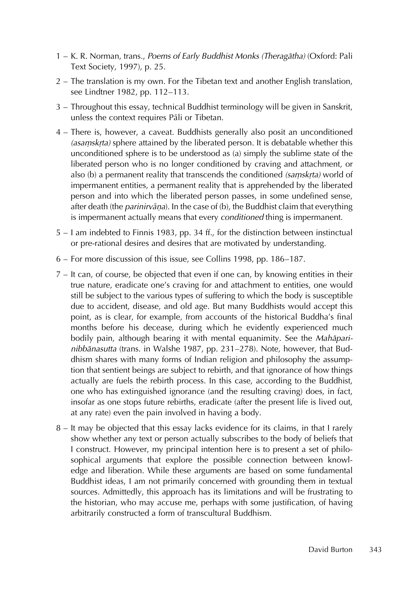- 1 K. R. Norman, trans., Poems of Early Buddhist Monks (Theragātha) (Oxford: Pali Text Society, 1997), p. 25.
- 2 The translation is my own. For the Tibetan text and another English translation, see Lindtner 1982, pp. 112–113.
- 3 Throughout this essay, technical Buddhist terminology will be given in Sanskrit, unless the context requires Pāli or Tibetan.
- 4 There is, however, a caveat. Buddhists generally also posit an unconditioned (asamskrta) sphere attained by the liberated person. It is debatable whether this<br>unconditioned sphere is to be understood as (a) simply the sublime state of the unconditioned sphere is to be understood as (a) simply the sublime state of the liberated person who is no longer conditioned by craving and attachment, or also (b) a permanent reality that transcends the conditioned *(saṃskṛta)* world of<br>impermanent entities, a permanent reality that is apprehended by the liberated ˙ impermanent entities, a permanent reality that is apprehended by the liberated person and into which the liberated person passes, in some undefined sense, after death (the *parinirvāṇa*). In the case of (b), the Buddhist claim that everything is impermanent actually means that every *conditioned* thing is impermanent.
- 5 I am indebted to Finnis 1983, pp. 34 ff., for the distinction between instinctual or pre-rational desires and desires that are motivated by understanding.
- 6 For more discussion of this issue, see Collins 1998, pp. 186–187.
- 7 It can, of course, be objected that even if one can, by knowing entities in their true nature, eradicate one's craving for and attachment to entities, one would still be subject to the various types of suffering to which the body is susceptible due to accident, disease, and old age. But many Buddhists would accept this point, as is clear, for example, from accounts of the historical Buddha's final months before his decease, during which he evidently experienced much bodily pain, although bearing it with mental equanimity. See the Mahaparinibbānasutta (trans. in Walshe 1987, pp. 231–278). Note, however, that Buddhism shares with many forms of Indian religion and philosophy the assumption that sentient beings are subject to rebirth, and that ignorance of how things actually are fuels the rebirth process. In this case, according to the Buddhist, one who has extinguished ignorance (and the resulting craving) does, in fact, insofar as one stops future rebirths, eradicate (after the present life is lived out, at any rate) even the pain involved in having a body.
- 8 It may be objected that this essay lacks evidence for its claims, in that I rarely show whether any text or person actually subscribes to the body of beliefs that I construct. However, my principal intention here is to present a set of philosophical arguments that explore the possible connection between knowledge and liberation. While these arguments are based on some fundamental Buddhist ideas, I am not primarily concerned with grounding them in textual sources. Admittedly, this approach has its limitations and will be frustrating to the historian, who may accuse me, perhaps with some justification, of having arbitrarily constructed a form of transcultural Buddhism.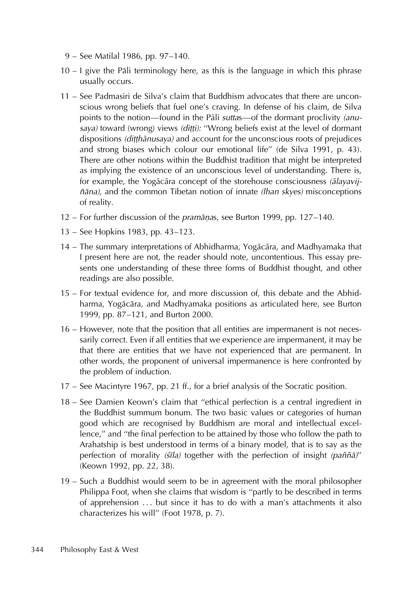- 9 See Matilal 1986, pp. 97–140.
- $10 1$  give the Pāli terminology here, as this is the language in which this phrase usually occurs.
- 11 See Padmasiri de Silva's claim that Buddhism advocates that there are unconscious wrong beliefs that fuel one's craving. In defense of his claim, de Silva points to the notion—found in the Pali suttas—of the dormant proclivity (anusaya) toward (wrong) views *(diṭṭi): "*Wrong beliefs exist at the level of dormant<br>dispositions *(ditthānusaya)* and account for the unconscious roots of prejudices  $\frac{\partial}{\partial t}$  dispositions (ditthanusaya) and account for the unconscious roots of prejudices and strong biases which colour our emotional life" (de Silva 1991, p. 43). There are other notions within the Buddhist tradition that might be interpreted as implying the existence of an unconscious level of understanding. There is, for example, the Yogācāra concept of the storehouse consciousness (ālayavijñāna), and the common Tibetan notion of innate (lhan skyes) misconceptions of reality.
- 12 For further discussion of the *pramānas*, see Burton 1999, pp. 127–140. ˙
- 13 See Hopkins 1983, pp. 43–123.
- 14 The summary interpretations of Abhidharma, Yogācāra, and Madhyamaka that I present here are not, the reader should note, uncontentious. This essay presents one understanding of these three forms of Buddhist thought, and other readings are also possible.
- 15 For textual evidence for, and more discussion of, this debate and the Abhidharma, Yogācāra, and Madhyamaka positions as articulated here, see Burton 1999, pp. 87–121, and Burton 2000.
- 16 However, note that the position that all entities are impermanent is not necessarily correct. Even if all entities that we experience are impermanent, it may be that there are entities that we have not experienced that are permanent. In other words, the proponent of universal impermanence is here confronted by the problem of induction.
- 17 See Macintyre 1967, pp. 21 ff., for a brief analysis of the Socratic position.
- 18 See Damien Keown's claim that "ethical perfection is a central ingredient in the Buddhist summum bonum. The two basic values or categories of human good which are recognised by Buddhism are moral and intellectual excellence,'' and ''the final perfection to be attained by those who follow the path to Arahatship is best understood in terms of a binary model, that is to say as the perfection of morality (sīla) together with the perfection of insight (paññā)" (Keown 1992, pp. 22, 38).
- 19 Such a Buddhist would seem to be in agreement with the moral philosopher Philippa Foot, when she claims that wisdom is ''partly to be described in terms of apprehension ... but since it has to do with a man's attachments it also characterizes his will'' (Foot 1978, p. 7).